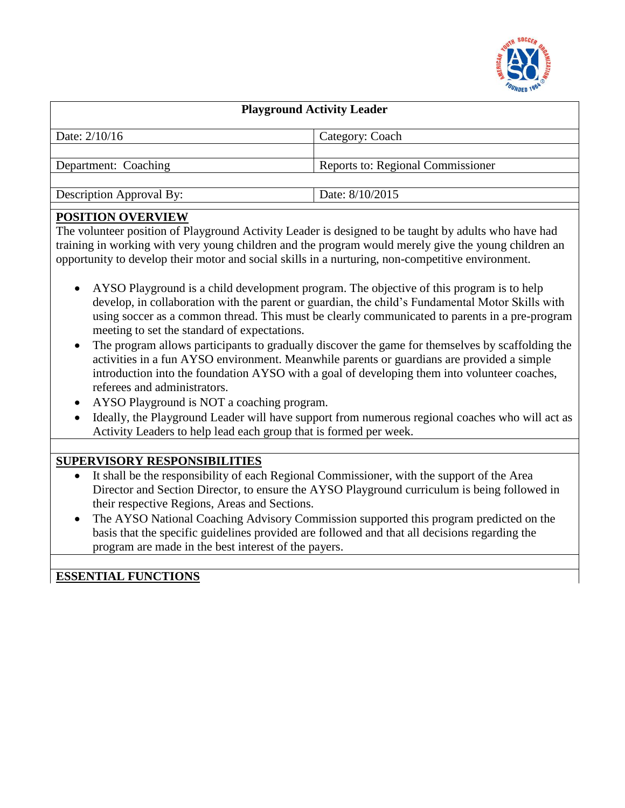

| <b>Playground Activity Leader</b> |                                   |
|-----------------------------------|-----------------------------------|
| Date: $2/10/16$                   | Category: Coach                   |
|                                   |                                   |
| Department: Coaching              | Reports to: Regional Commissioner |
|                                   |                                   |
| <b>Description Approval By:</b>   | Date: 8/10/2015                   |
|                                   |                                   |

### **POSITION OVERVIEW**

The volunteer position of Playground Activity Leader is designed to be taught by adults who have had training in working with very young children and the program would merely give the young children an opportunity to develop their motor and social skills in a nurturing, non-competitive environment.

- AYSO Playground is a child development program. The objective of this program is to help develop, in collaboration with the parent or guardian, the child's Fundamental Motor Skills with using soccer as a common thread. This must be clearly communicated to parents in a pre-program meeting to set the standard of expectations.
- The program allows participants to gradually discover the game for themselves by scaffolding the activities in a fun AYSO environment. Meanwhile parents or guardians are provided a simple introduction into the foundation AYSO with a goal of developing them into volunteer coaches, referees and administrators.
- AYSO Playground is NOT a coaching program.
- Ideally, the Playground Leader will have support from numerous regional coaches who will act as Activity Leaders to help lead each group that is formed per week.

# **SUPERVISORY RESPONSIBILITIES**

- It shall be the responsibility of each Regional Commissioner, with the support of the Area Director and Section Director, to ensure the AYSO Playground curriculum is being followed in their respective Regions, Areas and Sections.
- The AYSO National Coaching Advisory Commission supported this program predicted on the basis that the specific guidelines provided are followed and that all decisions regarding the program are made in the best interest of the payers.

**ESSENTIAL FUNCTIONS**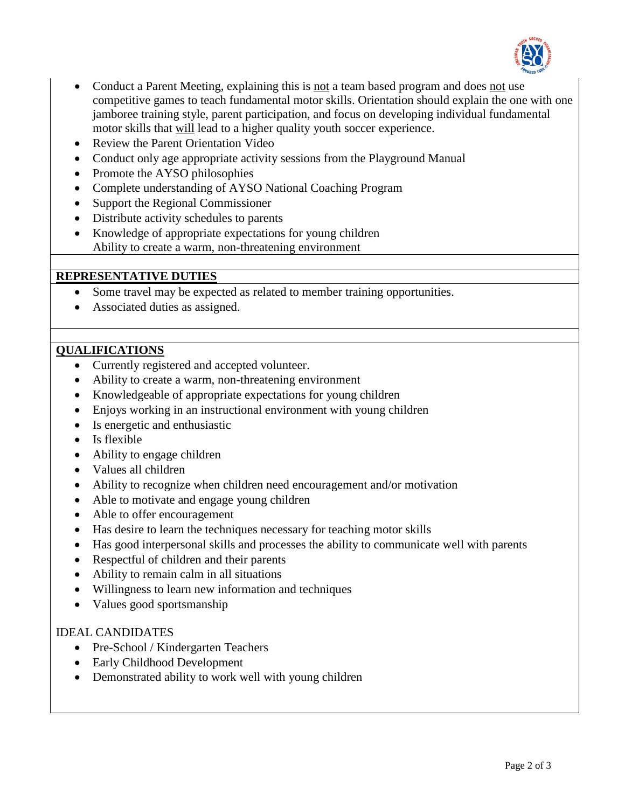

- Conduct a Parent Meeting, explaining this is not a team based program and does not use competitive games to teach fundamental motor skills. Orientation should explain the one with one jamboree training style, parent participation, and focus on developing individual fundamental motor skills that will lead to a higher quality youth soccer experience.
- Review the Parent Orientation Video
- Conduct only age appropriate activity sessions from the Playground Manual
- Promote the AYSO philosophies
- Complete understanding of AYSO National Coaching Program
- Support the Regional Commissioner
- Distribute activity schedules to parents
- Knowledge of appropriate expectations for young children Ability to create a warm, non-threatening environment

### **REPRESENTATIVE DUTIES**

- Some travel may be expected as related to member training opportunities.
- Associated duties as assigned.

### **QUALIFICATIONS**

- Currently registered and accepted volunteer.
- Ability to create a warm, non-threatening environment
- Knowledgeable of appropriate expectations for young children
- Enjoys working in an instructional environment with young children
- Is energetic and enthusiastic
- Is flexible
- Ability to engage children
- Values all children
- Ability to recognize when children need encouragement and/or motivation
- Able to motivate and engage young children
- Able to offer encouragement
- Has desire to learn the techniques necessary for teaching motor skills
- Has good interpersonal skills and processes the ability to communicate well with parents
- Respectful of children and their parents
- Ability to remain calm in all situations
- Willingness to learn new information and techniques
- Values good sportsmanship

### IDEAL CANDIDATES

- Pre-School / Kindergarten Teachers
- Early Childhood Development
- Demonstrated ability to work well with young children